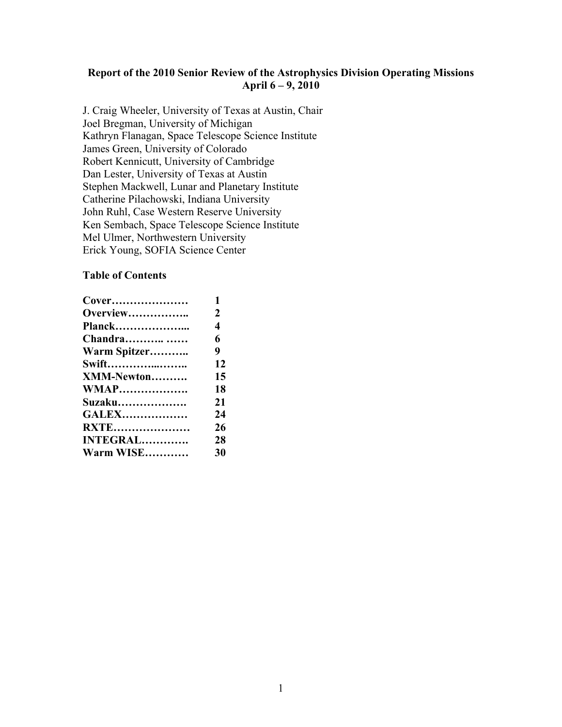### **Report of the 2010 Senior Review of the Astrophysics Division Operating Missions April 6 – 9, 2010**

J. Craig Wheeler, University of Texas at Austin, Chair Joel Bregman, University of Michigan Kathryn Flanagan, Space Telescope Science Institute James Green, University of Colorado Robert Kennicutt, University of Cambridge Dan Lester, University of Texas at Austin Stephen Mackwell, Lunar and Planetary Institute Catherine Pilachowski, Indiana University John Ruhl, Case Western Reserve University Ken Sembach, Space Telescope Science Institute Mel Ulmer, Northwestern University Erick Young, SOFIA Science Center

#### **Table of Contents**

| Cover             | 1                |
|-------------------|------------------|
| <b>Overview</b>   | 2                |
| <b>Planck</b>     | $\boldsymbol{4}$ |
| <b>Chandra</b>    | 6                |
| Warm Spitzer      | 9                |
| <b>Swift</b>      | 12               |
| <b>XMM-Newton</b> | 15               |
| <b>WMAP</b>       | 18               |
| Suzaku            | 21               |
| <b>GALEX</b>      | 24               |
| <b>RXTE</b>       | 26               |
| <b>INTEGRAL</b>   | 28               |
| Warm WISE         | 30               |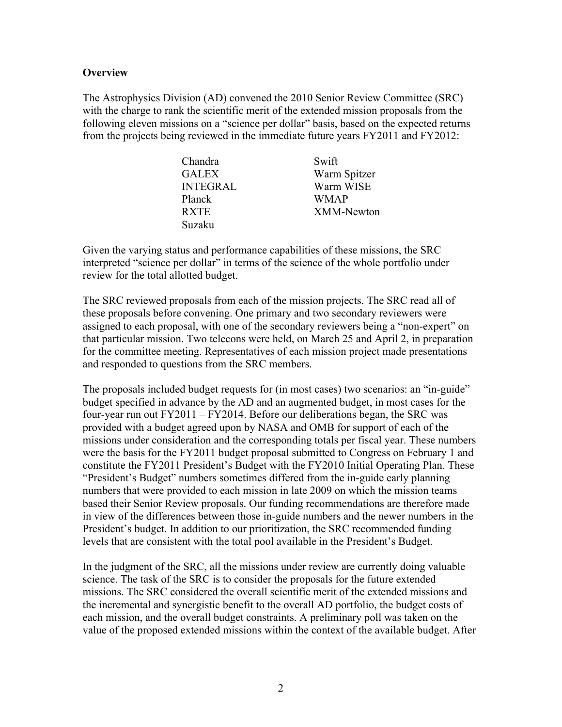### **Overview**

The Astrophysics Division (AD) convened the 2010 Senior Review Committee (SRC) with the charge to rank the scientific merit of the extended mission proposals from the following eleven missions on a "science per dollar" basis, based on the expected returns from the projects being reviewed in the immediate future years FY2011 and FY2012:

| Chandra         | Swift             |
|-----------------|-------------------|
| <b>GALEX</b>    | Warm Spitzer      |
| <b>INTEGRAL</b> | Warm WISE         |
| Planck          | <b>WMAP</b>       |
| <b>RXTE</b>     | <b>XMM-Newton</b> |
| Suzaku          |                   |

Given the varying status and performance capabilities of these missions, the SRC interpreted "science per dollar" in terms of the science of the whole portfolio under review for the total allotted budget.

The SRC reviewed proposals from each of the mission projects. The SRC read all of these proposals before convening. One primary and two secondary reviewers were assigned to each proposal, with one of the secondary reviewers being a "non-expert" on that particular mission. Two telecons were held, on March 25 and April 2, in preparation for the committee meeting. Representatives of each mission project made presentations and responded to questions from the SRC members.

The proposals included budget requests for (in most cases) two scenarios: an "in-guide" budget specified in advance by the AD and an augmented budget, in most cases for the four-year run out FY2011 – FY2014. Before our deliberations began, the SRC was provided with a budget agreed upon by NASA and OMB for support of each of the missions under consideration and the corresponding totals per fiscal year. These numbers were the basis for the FY2011 budget proposal submitted to Congress on February 1 and constitute the FY2011 President's Budget with the FY2010 Initial Operating Plan. These "President's Budget" numbers sometimes differed from the in-guide early planning numbers that were provided to each mission in late 2009 on which the mission teams based their Senior Review proposals. Our funding recommendations are therefore made in view of the differences between those in-guide numbers and the newer numbers in the President's budget. In addition to our prioritization, the SRC recommended funding levels that are consistent with the total pool available in the President's Budget.

In the judgment of the SRC, all the missions under review are currently doing valuable science. The task of the SRC is to consider the proposals for the future extended missions. The SRC considered the overall scientific merit of the extended missions and the incremental and synergistic benefit to the overall AD portfolio, the budget costs of each mission, and the overall budget constraints. A preliminary poll was taken on the value of the proposed extended missions within the context of the available budget. After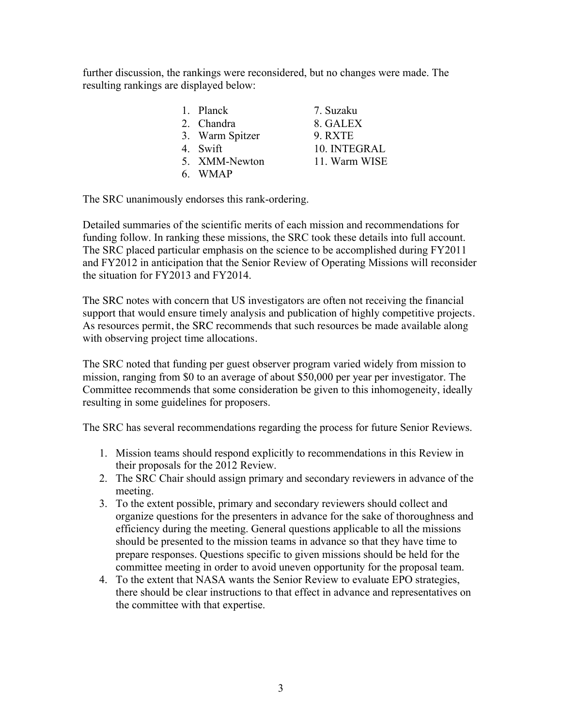further discussion, the rankings were reconsidered, but no changes were made. The resulting rankings are displayed below:

| 1. Planck       | 7. Suzaku     |
|-----------------|---------------|
| 2. Chandra      | 8. GALEX      |
| 3. Warm Spitzer | 9. RXTE       |
| 4. Swift        | 10. INTEGRAL  |
| 5. XMM-Newton   | 11. Warm WISE |
| 6. WMAP         |               |

The SRC unanimously endorses this rank-ordering.

Detailed summaries of the scientific merits of each mission and recommendations for funding follow. In ranking these missions, the SRC took these details into full account. The SRC placed particular emphasis on the science to be accomplished during FY2011 and FY2012 in anticipation that the Senior Review of Operating Missions will reconsider the situation for FY2013 and FY2014.

The SRC notes with concern that US investigators are often not receiving the financial support that would ensure timely analysis and publication of highly competitive projects. As resources permit, the SRC recommends that such resources be made available along with observing project time allocations.

The SRC noted that funding per guest observer program varied widely from mission to mission, ranging from \$0 to an average of about \$50,000 per year per investigator. The Committee recommends that some consideration be given to this inhomogeneity, ideally resulting in some guidelines for proposers.

The SRC has several recommendations regarding the process for future Senior Reviews.

- 1. Mission teams should respond explicitly to recommendations in this Review in their proposals for the 2012 Review.
- 2. The SRC Chair should assign primary and secondary reviewers in advance of the meeting.
- 3. To the extent possible, primary and secondary reviewers should collect and organize questions for the presenters in advance for the sake of thoroughness and efficiency during the meeting. General questions applicable to all the missions should be presented to the mission teams in advance so that they have time to prepare responses. Questions specific to given missions should be held for the committee meeting in order to avoid uneven opportunity for the proposal team.
- 4. To the extent that NASA wants the Senior Review to evaluate EPO strategies, there should be clear instructions to that effect in advance and representatives on the committee with that expertise.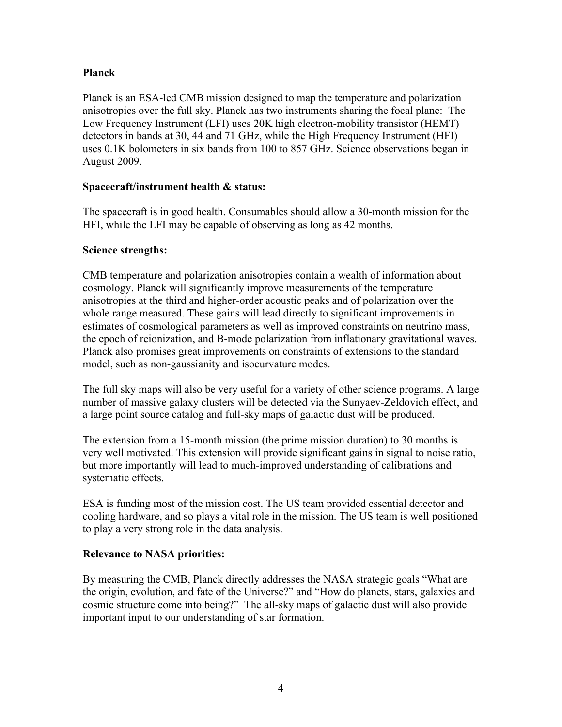# **Planck**

Planck is an ESA-led CMB mission designed to map the temperature and polarization anisotropies over the full sky. Planck has two instruments sharing the focal plane: The Low Frequency Instrument (LFI) uses 20K high electron-mobility transistor (HEMT) detectors in bands at 30, 44 and 71 GHz, while the High Frequency Instrument (HFI) uses 0.1K bolometers in six bands from 100 to 857 GHz. Science observations began in August 2009.

# **Spacecraft/instrument health & status:**

The spacecraft is in good health. Consumables should allow a 30-month mission for the HFI, while the LFI may be capable of observing as long as 42 months.

# **Science strengths:**

CMB temperature and polarization anisotropies contain a wealth of information about cosmology. Planck will significantly improve measurements of the temperature anisotropies at the third and higher-order acoustic peaks and of polarization over the whole range measured. These gains will lead directly to significant improvements in estimates of cosmological parameters as well as improved constraints on neutrino mass, the epoch of reionization, and B-mode polarization from inflationary gravitational waves. Planck also promises great improvements on constraints of extensions to the standard model, such as non-gaussianity and isocurvature modes.

The full sky maps will also be very useful for a variety of other science programs. A large number of massive galaxy clusters will be detected via the Sunyaev-Zeldovich effect, and a large point source catalog and full-sky maps of galactic dust will be produced.

The extension from a 15-month mission (the prime mission duration) to 30 months is very well motivated. This extension will provide significant gains in signal to noise ratio, but more importantly will lead to much-improved understanding of calibrations and systematic effects.

ESA is funding most of the mission cost. The US team provided essential detector and cooling hardware, and so plays a vital role in the mission. The US team is well positioned to play a very strong role in the data analysis.

# **Relevance to NASA priorities:**

By measuring the CMB, Planck directly addresses the NASA strategic goals "What are the origin, evolution, and fate of the Universe?" and "How do planets, stars, galaxies and cosmic structure come into being?" The all-sky maps of galactic dust will also provide important input to our understanding of star formation.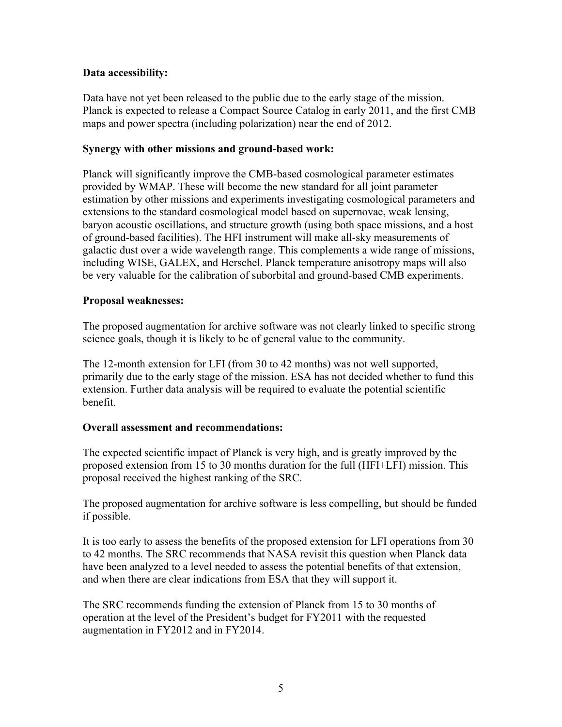# **Data accessibility:**

Data have not yet been released to the public due to the early stage of the mission. Planck is expected to release a Compact Source Catalog in early 2011, and the first CMB maps and power spectra (including polarization) near the end of 2012.

## **Synergy with other missions and ground-based work:**

Planck will significantly improve the CMB-based cosmological parameter estimates provided by WMAP. These will become the new standard for all joint parameter estimation by other missions and experiments investigating cosmological parameters and extensions to the standard cosmological model based on supernovae, weak lensing, baryon acoustic oscillations, and structure growth (using both space missions, and a host of ground-based facilities). The HFI instrument will make all-sky measurements of galactic dust over a wide wavelength range. This complements a wide range of missions, including WISE, GALEX, and Herschel. Planck temperature anisotropy maps will also be very valuable for the calibration of suborbital and ground-based CMB experiments.

## **Proposal weaknesses:**

The proposed augmentation for archive software was not clearly linked to specific strong science goals, though it is likely to be of general value to the community.

The 12-month extension for LFI (from 30 to 42 months) was not well supported, primarily due to the early stage of the mission. ESA has not decided whether to fund this extension. Further data analysis will be required to evaluate the potential scientific benefit.

# **Overall assessment and recommendations:**

The expected scientific impact of Planck is very high, and is greatly improved by the proposed extension from 15 to 30 months duration for the full (HFI+LFI) mission. This proposal received the highest ranking of the SRC.

The proposed augmentation for archive software is less compelling, but should be funded if possible.

It is too early to assess the benefits of the proposed extension for LFI operations from 30 to 42 months. The SRC recommends that NASA revisit this question when Planck data have been analyzed to a level needed to assess the potential benefits of that extension, and when there are clear indications from ESA that they will support it.

The SRC recommends funding the extension of Planck from 15 to 30 months of operation at the level of the President's budget for FY2011 with the requested augmentation in FY2012 and in FY2014.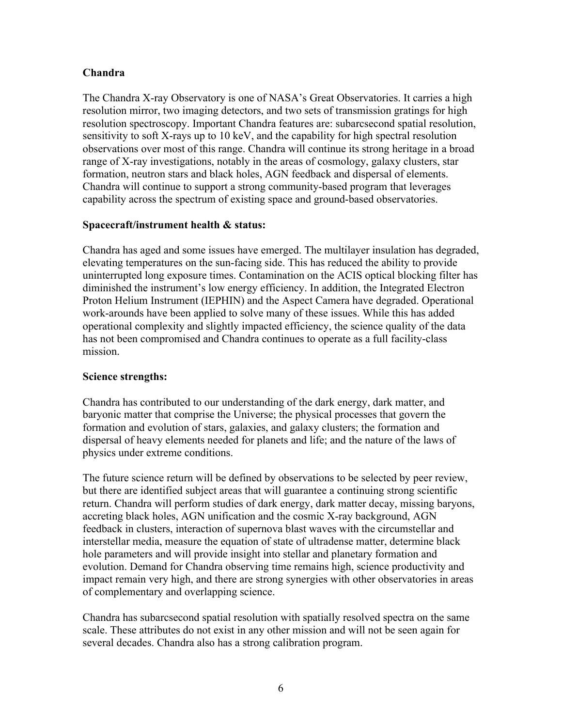# **Chandra**

The Chandra X-ray Observatory is one of NASA's Great Observatories. It carries a high resolution mirror, two imaging detectors, and two sets of transmission gratings for high resolution spectroscopy. Important Chandra features are: subarcsecond spatial resolution, sensitivity to soft X-rays up to 10 keV, and the capability for high spectral resolution observations over most of this range. Chandra will continue its strong heritage in a broad range of X-ray investigations, notably in the areas of cosmology, galaxy clusters, star formation, neutron stars and black holes, AGN feedback and dispersal of elements. Chandra will continue to support a strong community-based program that leverages capability across the spectrum of existing space and ground-based observatories.

# **Spacecraft/instrument health & status:**

Chandra has aged and some issues have emerged. The multilayer insulation has degraded, elevating temperatures on the sun-facing side. This has reduced the ability to provide uninterrupted long exposure times. Contamination on the ACIS optical blocking filter has diminished the instrument's low energy efficiency. In addition, the Integrated Electron Proton Helium Instrument (IEPHIN) and the Aspect Camera have degraded. Operational work-arounds have been applied to solve many of these issues. While this has added operational complexity and slightly impacted efficiency, the science quality of the data has not been compromised and Chandra continues to operate as a full facility-class mission.

# **Science strengths:**

Chandra has contributed to our understanding of the dark energy, dark matter, and baryonic matter that comprise the Universe; the physical processes that govern the formation and evolution of stars, galaxies, and galaxy clusters; the formation and dispersal of heavy elements needed for planets and life; and the nature of the laws of physics under extreme conditions.

The future science return will be defined by observations to be selected by peer review, but there are identified subject areas that will guarantee a continuing strong scientific return. Chandra will perform studies of dark energy, dark matter decay, missing baryons, accreting black holes, AGN unification and the cosmic X-ray background, AGN feedback in clusters, interaction of supernova blast waves with the circumstellar and interstellar media, measure the equation of state of ultradense matter, determine black hole parameters and will provide insight into stellar and planetary formation and evolution. Demand for Chandra observing time remains high, science productivity and impact remain very high, and there are strong synergies with other observatories in areas of complementary and overlapping science.

Chandra has subarcsecond spatial resolution with spatially resolved spectra on the same scale. These attributes do not exist in any other mission and will not be seen again for several decades. Chandra also has a strong calibration program.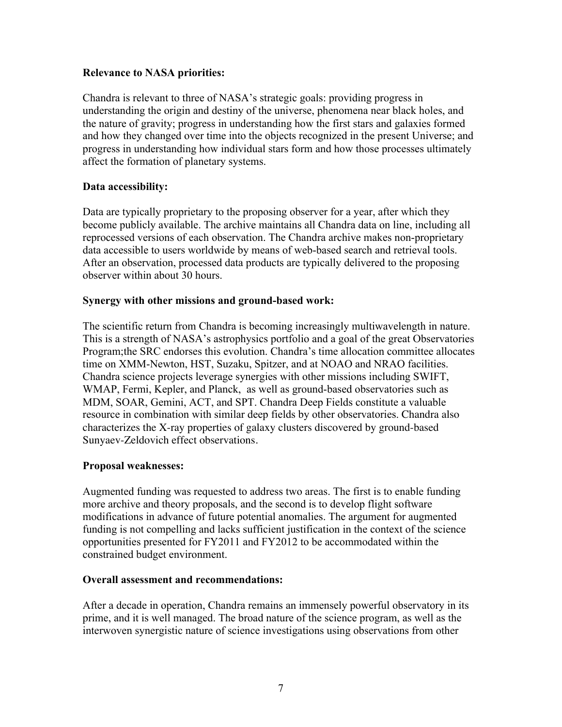### **Relevance to NASA priorities:**

Chandra is relevant to three of NASA's strategic goals: providing progress in understanding the origin and destiny of the universe, phenomena near black holes, and the nature of gravity; progress in understanding how the first stars and galaxies formed and how they changed over time into the objects recognized in the present Universe; and progress in understanding how individual stars form and how those processes ultimately affect the formation of planetary systems.

# **Data accessibility:**

Data are typically proprietary to the proposing observer for a year, after which they become publicly available. The archive maintains all Chandra data on line, including all reprocessed versions of each observation. The Chandra archive makes non-proprietary data accessible to users worldwide by means of web-based search and retrieval tools. After an observation, processed data products are typically delivered to the proposing observer within about 30 hours.

## **Synergy with other missions and ground-based work:**

The scientific return from Chandra is becoming increasingly multiwavelength in nature. This is a strength of NASA's astrophysics portfolio and a goal of the great Observatories Program;the SRC endorses this evolution. Chandra's time allocation committee allocates time on XMM-Newton, HST, Suzaku, Spitzer, and at NOAO and NRAO facilities. Chandra science projects leverage synergies with other missions including SWIFT, WMAP, Fermi, Kepler, and Planck, as well as ground-based observatories such as MDM, SOAR, Gemini, ACT, and SPT. Chandra Deep Fields constitute a valuable resource in combination with similar deep fields by other observatories. Chandra also characterizes the X-ray properties of galaxy clusters discovered by ground-based Sunyaev-Zeldovich effect observations.

# **Proposal weaknesses:**

Augmented funding was requested to address two areas. The first is to enable funding more archive and theory proposals, and the second is to develop flight software modifications in advance of future potential anomalies. The argument for augmented funding is not compelling and lacks sufficient justification in the context of the science opportunities presented for FY2011 and FY2012 to be accommodated within the constrained budget environment.

#### **Overall assessment and recommendations:**

After a decade in operation, Chandra remains an immensely powerful observatory in its prime, and it is well managed. The broad nature of the science program, as well as the interwoven synergistic nature of science investigations using observations from other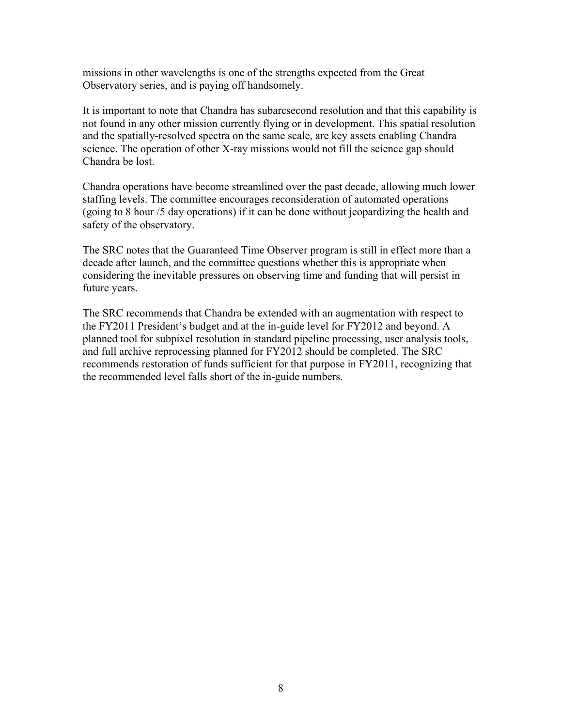missions in other wavelengths is one of the strengths expected from the Great Observatory series, and is paying off handsomely.

It is important to note that Chandra has subarcsecond resolution and that this capability is not found in any other mission currently flying or in development. This spatial resolution and the spatially-resolved spectra on the same scale, are key assets enabling Chandra science. The operation of other X-ray missions would not fill the science gap should Chandra be lost.

Chandra operations have become streamlined over the past decade, allowing much lower staffing levels. The committee encourages reconsideration of automated operations (going to 8 hour /5 day operations) if it can be done without jeopardizing the health and safety of the observatory.

The SRC notes that the Guaranteed Time Observer program is still in effect more than a decade after launch, and the committee questions whether this is appropriate when considering the inevitable pressures on observing time and funding that will persist in future years.

The SRC recommends that Chandra be extended with an augmentation with respect to the FY2011 President's budget and at the in-guide level for FY2012 and beyond. A planned tool for subpixel resolution in standard pipeline processing, user analysis tools, and full archive reprocessing planned for FY2012 should be completed. The SRC recommends restoration of funds sufficient for that purpose in FY2011, recognizing that the recommended level falls short of the in-guide numbers.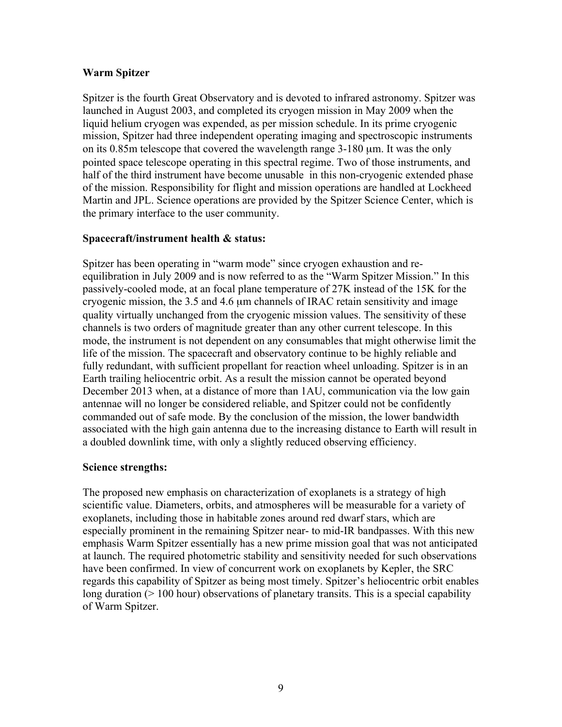## **Warm Spitzer**

Spitzer is the fourth Great Observatory and is devoted to infrared astronomy. Spitzer was launched in August 2003, and completed its cryogen mission in May 2009 when the liquid helium cryogen was expended, as per mission schedule. In its prime cryogenic mission, Spitzer had three independent operating imaging and spectroscopic instruments on its 0.85m telescope that covered the wavelength range 3-180 µm. It was the only pointed space telescope operating in this spectral regime. Two of those instruments, and half of the third instrument have become unusable in this non-cryogenic extended phase of the mission. Responsibility for flight and mission operations are handled at Lockheed Martin and JPL. Science operations are provided by the Spitzer Science Center, which is the primary interface to the user community.

## **Spacecraft/instrument health & status:**

Spitzer has been operating in "warm mode" since cryogen exhaustion and reequilibration in July 2009 and is now referred to as the "Warm Spitzer Mission." In this passively-cooled mode, at an focal plane temperature of 27K instead of the 15K for the cryogenic mission, the 3.5 and 4.6 µm channels of IRAC retain sensitivity and image quality virtually unchanged from the cryogenic mission values. The sensitivity of these channels is two orders of magnitude greater than any other current telescope. In this mode, the instrument is not dependent on any consumables that might otherwise limit the life of the mission. The spacecraft and observatory continue to be highly reliable and fully redundant, with sufficient propellant for reaction wheel unloading. Spitzer is in an Earth trailing heliocentric orbit. As a result the mission cannot be operated beyond December 2013 when, at a distance of more than 1AU, communication via the low gain antennae will no longer be considered reliable, and Spitzer could not be confidently commanded out of safe mode. By the conclusion of the mission, the lower bandwidth associated with the high gain antenna due to the increasing distance to Earth will result in a doubled downlink time, with only a slightly reduced observing efficiency.

# **Science strengths:**

The proposed new emphasis on characterization of exoplanets is a strategy of high scientific value. Diameters, orbits, and atmospheres will be measurable for a variety of exoplanets, including those in habitable zones around red dwarf stars, which are especially prominent in the remaining Spitzer near- to mid-IR bandpasses. With this new emphasis Warm Spitzer essentially has a new prime mission goal that was not anticipated at launch. The required photometric stability and sensitivity needed for such observations have been confirmed. In view of concurrent work on exoplanets by Kepler, the SRC regards this capability of Spitzer as being most timely. Spitzer's heliocentric orbit enables long duration (> 100 hour) observations of planetary transits. This is a special capability of Warm Spitzer.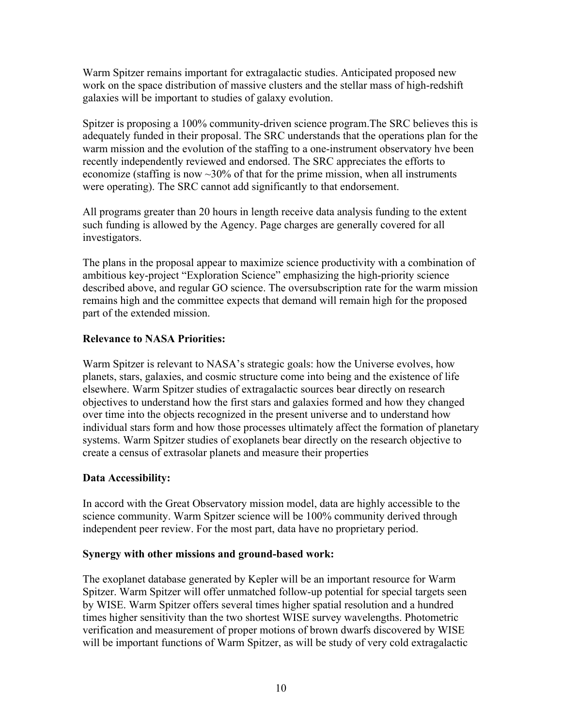Warm Spitzer remains important for extragalactic studies. Anticipated proposed new work on the space distribution of massive clusters and the stellar mass of high-redshift galaxies will be important to studies of galaxy evolution.

Spitzer is proposing a 100% community-driven science program.The SRC believes this is adequately funded in their proposal. The SRC understands that the operations plan for the warm mission and the evolution of the staffing to a one-instrument observatory hve been recently independently reviewed and endorsed. The SRC appreciates the efforts to economize (staffing is now  $\sim$ 30% of that for the prime mission, when all instruments were operating). The SRC cannot add significantly to that endorsement.

All programs greater than 20 hours in length receive data analysis funding to the extent such funding is allowed by the Agency. Page charges are generally covered for all investigators.

The plans in the proposal appear to maximize science productivity with a combination of ambitious key-project "Exploration Science" emphasizing the high-priority science described above, and regular GO science. The oversubscription rate for the warm mission remains high and the committee expects that demand will remain high for the proposed part of the extended mission.

# **Relevance to NASA Priorities:**

Warm Spitzer is relevant to NASA's strategic goals: how the Universe evolves, how planets, stars, galaxies, and cosmic structure come into being and the existence of life elsewhere. Warm Spitzer studies of extragalactic sources bear directly on research objectives to understand how the first stars and galaxies formed and how they changed over time into the objects recognized in the present universe and to understand how individual stars form and how those processes ultimately affect the formation of planetary systems. Warm Spitzer studies of exoplanets bear directly on the research objective to create a census of extrasolar planets and measure their properties

# **Data Accessibility:**

In accord with the Great Observatory mission model, data are highly accessible to the science community. Warm Spitzer science will be 100% community derived through independent peer review. For the most part, data have no proprietary period.

# **Synergy with other missions and ground-based work:**

The exoplanet database generated by Kepler will be an important resource for Warm Spitzer. Warm Spitzer will offer unmatched follow-up potential for special targets seen by WISE. Warm Spitzer offers several times higher spatial resolution and a hundred times higher sensitivity than the two shortest WISE survey wavelengths. Photometric verification and measurement of proper motions of brown dwarfs discovered by WISE will be important functions of Warm Spitzer, as will be study of very cold extragalactic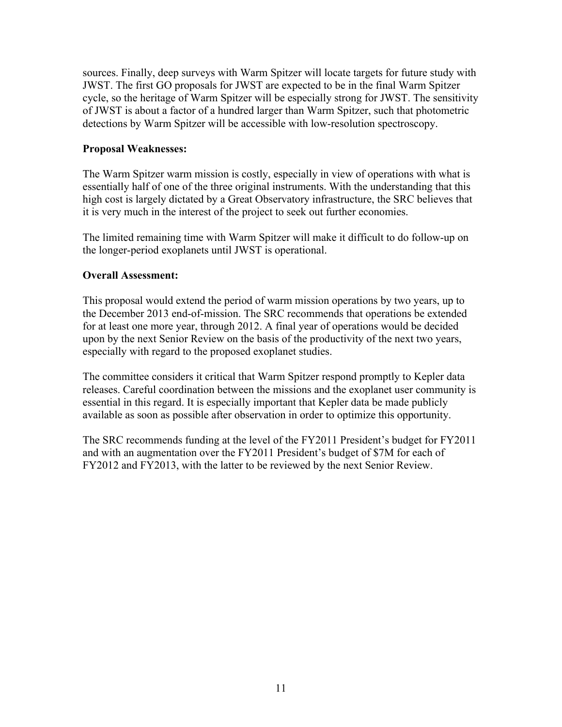sources. Finally, deep surveys with Warm Spitzer will locate targets for future study with JWST. The first GO proposals for JWST are expected to be in the final Warm Spitzer cycle, so the heritage of Warm Spitzer will be especially strong for JWST. The sensitivity of JWST is about a factor of a hundred larger than Warm Spitzer, such that photometric detections by Warm Spitzer will be accessible with low-resolution spectroscopy.

## **Proposal Weaknesses:**

The Warm Spitzer warm mission is costly, especially in view of operations with what is essentially half of one of the three original instruments. With the understanding that this high cost is largely dictated by a Great Observatory infrastructure, the SRC believes that it is very much in the interest of the project to seek out further economies.

The limited remaining time with Warm Spitzer will make it difficult to do follow-up on the longer-period exoplanets until JWST is operational.

## **Overall Assessment:**

This proposal would extend the period of warm mission operations by two years, up to the December 2013 end-of-mission. The SRC recommends that operations be extended for at least one more year, through 2012. A final year of operations would be decided upon by the next Senior Review on the basis of the productivity of the next two years, especially with regard to the proposed exoplanet studies.

The committee considers it critical that Warm Spitzer respond promptly to Kepler data releases. Careful coordination between the missions and the exoplanet user community is essential in this regard. It is especially important that Kepler data be made publicly available as soon as possible after observation in order to optimize this opportunity.

The SRC recommends funding at the level of the FY2011 President's budget for FY2011 and with an augmentation over the FY2011 President's budget of \$7M for each of FY2012 and FY2013, with the latter to be reviewed by the next Senior Review.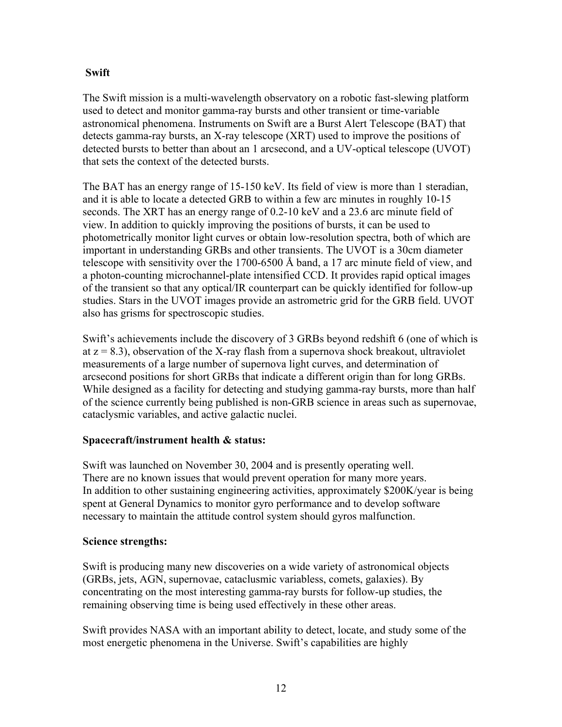# **Swift**

The Swift mission is a multi-wavelength observatory on a robotic fast-slewing platform used to detect and monitor gamma-ray bursts and other transient or time-variable astronomical phenomena. Instruments on Swift are a Burst Alert Telescope (BAT) that detects gamma-ray bursts, an X-ray telescope (XRT) used to improve the positions of detected bursts to better than about an 1 arcsecond, and a UV-optical telescope (UVOT) that sets the context of the detected bursts.

The BAT has an energy range of 15-150 keV. Its field of view is more than 1 steradian, and it is able to locate a detected GRB to within a few arc minutes in roughly 10-15 seconds. The XRT has an energy range of 0.2-10 keV and a 23.6 arc minute field of view. In addition to quickly improving the positions of bursts, it can be used to photometrically monitor light curves or obtain low-resolution spectra, both of which are important in understanding GRBs and other transients. The UVOT is a 30cm diameter telescope with sensitivity over the 1700-6500 Å band, a 17 arc minute field of view, and a photon-counting microchannel-plate intensified CCD. It provides rapid optical images of the transient so that any optical/IR counterpart can be quickly identified for follow-up studies. Stars in the UVOT images provide an astrometric grid for the GRB field. UVOT also has grisms for spectroscopic studies.

Swift's achievements include the discovery of 3 GRBs beyond redshift 6 (one of which is at  $z = 8.3$ ), observation of the X-ray flash from a supernova shock breakout, ultraviolet measurements of a large number of supernova light curves, and determination of arcsecond positions for short GRBs that indicate a different origin than for long GRBs. While designed as a facility for detecting and studying gamma-ray bursts, more than half of the science currently being published is non-GRB science in areas such as supernovae, cataclysmic variables, and active galactic nuclei.

# **Spacecraft/instrument health & status:**

Swift was launched on November 30, 2004 and is presently operating well. There are no known issues that would prevent operation for many more years. In addition to other sustaining engineering activities, approximately \$200K/year is being spent at General Dynamics to monitor gyro performance and to develop software necessary to maintain the attitude control system should gyros malfunction.

# **Science strengths:**

Swift is producing many new discoveries on a wide variety of astronomical objects (GRBs, jets, AGN, supernovae, cataclusmic variabless, comets, galaxies). By concentrating on the most interesting gamma-ray bursts for follow-up studies, the remaining observing time is being used effectively in these other areas.

Swift provides NASA with an important ability to detect, locate, and study some of the most energetic phenomena in the Universe. Swift's capabilities are highly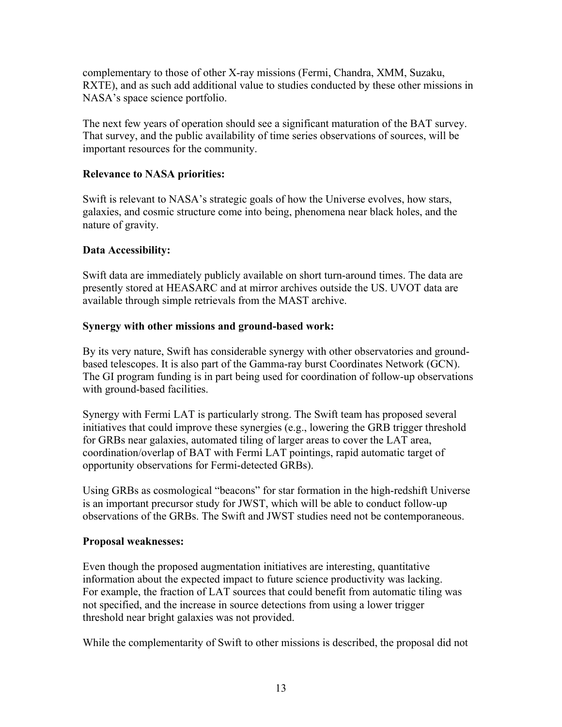complementary to those of other X-ray missions (Fermi, Chandra, XMM, Suzaku, RXTE), and as such add additional value to studies conducted by these other missions in NASA's space science portfolio.

The next few years of operation should see a significant maturation of the BAT survey. That survey, and the public availability of time series observations of sources, will be important resources for the community.

# **Relevance to NASA priorities:**

Swift is relevant to NASA's strategic goals of how the Universe evolves, how stars, galaxies, and cosmic structure come into being, phenomena near black holes, and the nature of gravity.

# **Data Accessibility:**

Swift data are immediately publicly available on short turn-around times. The data are presently stored at HEASARC and at mirror archives outside the US. UVOT data are available through simple retrievals from the MAST archive.

# **Synergy with other missions and ground-based work:**

By its very nature, Swift has considerable synergy with other observatories and groundbased telescopes. It is also part of the Gamma-ray burst Coordinates Network (GCN). The GI program funding is in part being used for coordination of follow-up observations with ground-based facilities.

Synergy with Fermi LAT is particularly strong. The Swift team has proposed several initiatives that could improve these synergies (e.g., lowering the GRB trigger threshold for GRBs near galaxies, automated tiling of larger areas to cover the LAT area, coordination/overlap of BAT with Fermi LAT pointings, rapid automatic target of opportunity observations for Fermi-detected GRBs).

Using GRBs as cosmological "beacons" for star formation in the high-redshift Universe is an important precursor study for JWST, which will be able to conduct follow-up observations of the GRBs. The Swift and JWST studies need not be contemporaneous.

# **Proposal weaknesses:**

Even though the proposed augmentation initiatives are interesting, quantitative information about the expected impact to future science productivity was lacking. For example, the fraction of LAT sources that could benefit from automatic tiling was not specified, and the increase in source detections from using a lower trigger threshold near bright galaxies was not provided.

While the complementarity of Swift to other missions is described, the proposal did not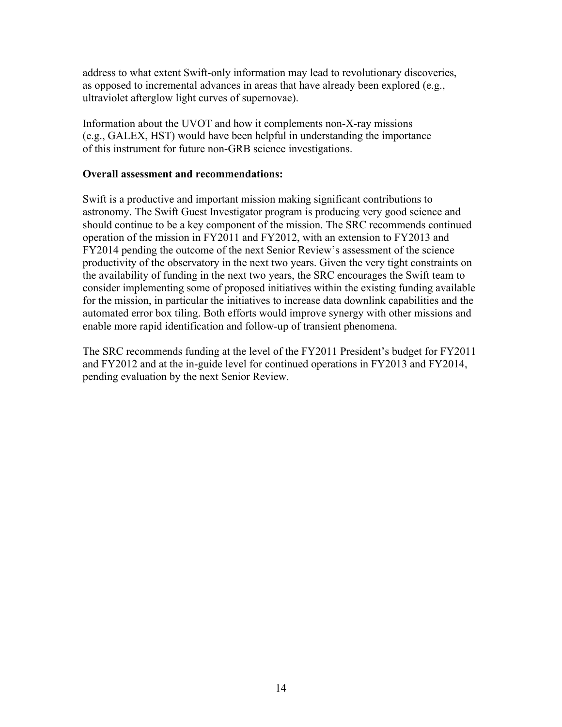address to what extent Swift-only information may lead to revolutionary discoveries, as opposed to incremental advances in areas that have already been explored (e.g., ultraviolet afterglow light curves of supernovae).

Information about the UVOT and how it complements non-X-ray missions (e.g., GALEX, HST) would have been helpful in understanding the importance of this instrument for future non-GRB science investigations.

### **Overall assessment and recommendations:**

Swift is a productive and important mission making significant contributions to astronomy. The Swift Guest Investigator program is producing very good science and should continue to be a key component of the mission. The SRC recommends continued operation of the mission in FY2011 and FY2012, with an extension to FY2013 and FY2014 pending the outcome of the next Senior Review's assessment of the science productivity of the observatory in the next two years. Given the very tight constraints on the availability of funding in the next two years, the SRC encourages the Swift team to consider implementing some of proposed initiatives within the existing funding available for the mission, in particular the initiatives to increase data downlink capabilities and the automated error box tiling. Both efforts would improve synergy with other missions and enable more rapid identification and follow-up of transient phenomena.

The SRC recommends funding at the level of the FY2011 President's budget for FY2011 and FY2012 and at the in-guide level for continued operations in FY2013 and FY2014, pending evaluation by the next Senior Review.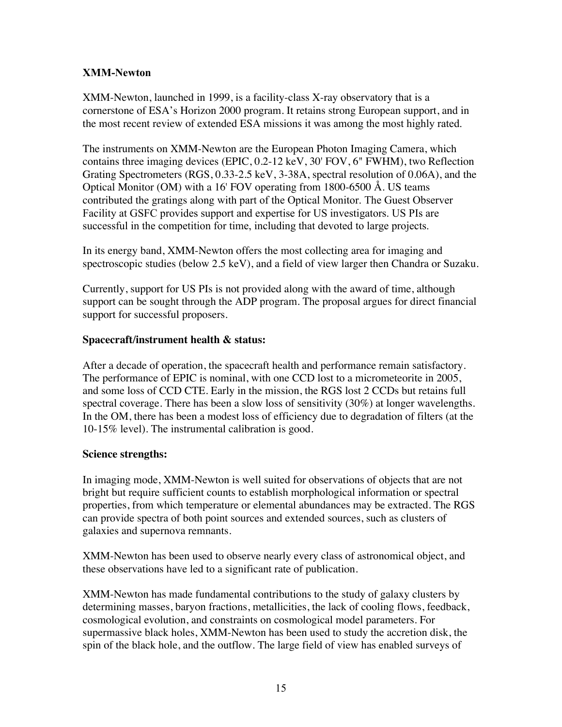# **XMM-Newton**

XMM-Newton, launched in 1999, is a facility-class X-ray observatory that is a cornerstone of ESA's Horizon 2000 program. It retains strong European support, and in the most recent review of extended ESA missions it was among the most highly rated.

The instruments on XMM-Newton are the European Photon Imaging Camera, which contains three imaging devices (EPIC, 0.2-12 keV, 30' FOV, 6" FWHM), two Reflection Grating Spectrometers (RGS, 0.33-2.5 keV, 3-38A, spectral resolution of 0.06A), and the Optical Monitor (OM) with a 16' FOV operating from 1800-6500 Å. US teams contributed the gratings along with part of the Optical Monitor. The Guest Observer Facility at GSFC provides support and expertise for US investigators. US PIs are successful in the competition for time, including that devoted to large projects.

In its energy band, XMM-Newton offers the most collecting area for imaging and spectroscopic studies (below 2.5 keV), and a field of view larger then Chandra or Suzaku.

Currently, support for US PIs is not provided along with the award of time, although support can be sought through the ADP program. The proposal argues for direct financial support for successful proposers.

## **Spacecraft/instrument health & status:**

After a decade of operation, the spacecraft health and performance remain satisfactory. The performance of EPIC is nominal, with one CCD lost to a micrometeorite in 2005, and some loss of CCD CTE. Early in the mission, the RGS lost 2 CCDs but retains full spectral coverage. There has been a slow loss of sensitivity (30%) at longer wavelengths. In the OM, there has been a modest loss of efficiency due to degradation of filters (at the 10-15% level). The instrumental calibration is good.

# **Science strengths:**

In imaging mode, XMM-Newton is well suited for observations of objects that are not bright but require sufficient counts to establish morphological information or spectral properties, from which temperature or elemental abundances may be extracted. The RGS can provide spectra of both point sources and extended sources, such as clusters of galaxies and supernova remnants.

XMM-Newton has been used to observe nearly every class of astronomical object, and these observations have led to a significant rate of publication.

XMM-Newton has made fundamental contributions to the study of galaxy clusters by determining masses, baryon fractions, metallicities, the lack of cooling flows, feedback, cosmological evolution, and constraints on cosmological model parameters. For supermassive black holes, XMM-Newton has been used to study the accretion disk, the spin of the black hole, and the outflow. The large field of view has enabled surveys of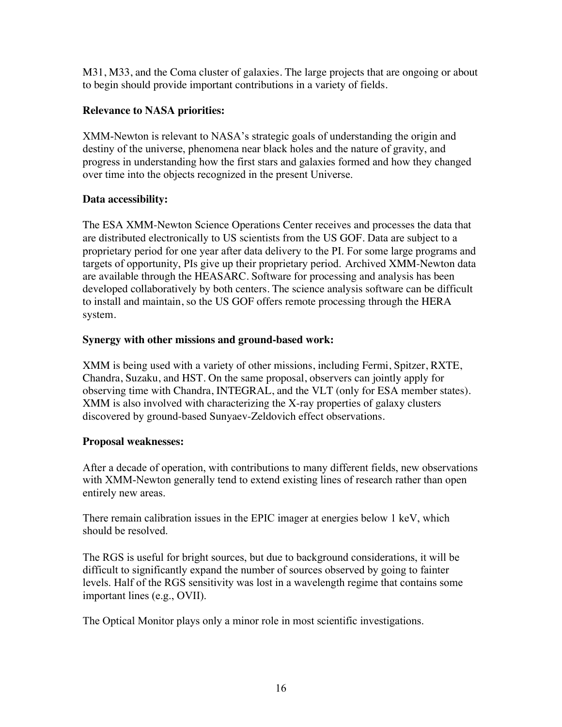M31, M33, and the Coma cluster of galaxies. The large projects that are ongoing or about to begin should provide important contributions in a variety of fields.

# **Relevance to NASA priorities:**

XMM-Newton is relevant to NASA's strategic goals of understanding the origin and destiny of the universe, phenomena near black holes and the nature of gravity, and progress in understanding how the first stars and galaxies formed and how they changed over time into the objects recognized in the present Universe.

# **Data accessibility:**

The ESA XMM-Newton Science Operations Center receives and processes the data that are distributed electronically to US scientists from the US GOF. Data are subject to a proprietary period for one year after data delivery to the PI. For some large programs and targets of opportunity, PIs give up their proprietary period. Archived XMM-Newton data are available through the HEASARC. Software for processing and analysis has been developed collaboratively by both centers. The science analysis software can be difficult to install and maintain, so the US GOF offers remote processing through the HERA system.

# **Synergy with other missions and ground-based work:**

XMM is being used with a variety of other missions, including Fermi, Spitzer, RXTE, Chandra, Suzaku, and HST. On the same proposal, observers can jointly apply for observing time with Chandra, INTEGRAL, and the VLT (only for ESA member states). XMM is also involved with characterizing the X-ray properties of galaxy clusters discovered by ground-based Sunyaev-Zeldovich effect observations.

# **Proposal weaknesses:**

After a decade of operation, with contributions to many different fields, new observations with XMM-Newton generally tend to extend existing lines of research rather than open entirely new areas.

There remain calibration issues in the EPIC imager at energies below 1 keV, which should be resolved.

The RGS is useful for bright sources, but due to background considerations, it will be difficult to significantly expand the number of sources observed by going to fainter levels. Half of the RGS sensitivity was lost in a wavelength regime that contains some important lines (e.g., OVII).

The Optical Monitor plays only a minor role in most scientific investigations.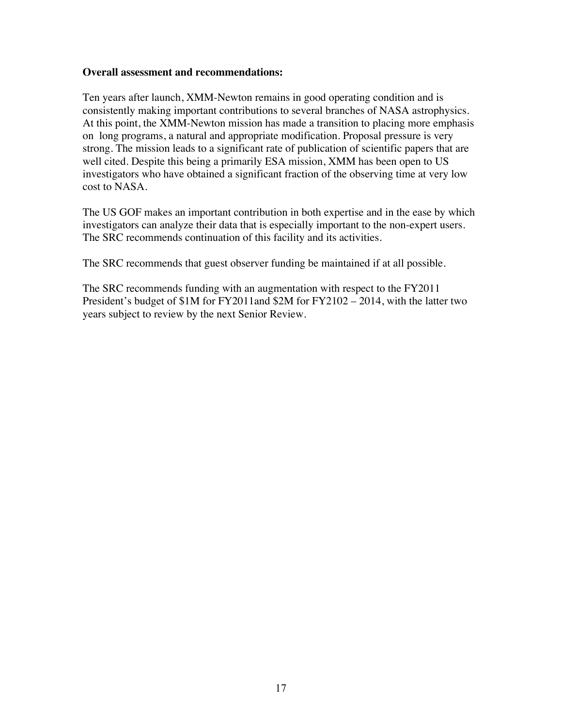#### **Overall assessment and recommendations:**

Ten years after launch, XMM-Newton remains in good operating condition and is consistently making important contributions to several branches of NASA astrophysics. At this point, the XMM-Newton mission has made a transition to placing more emphasis on long programs, a natural and appropriate modification. Proposal pressure is very strong. The mission leads to a significant rate of publication of scientific papers that are well cited. Despite this being a primarily ESA mission, XMM has been open to US investigators who have obtained a significant fraction of the observing time at very low cost to NASA.

The US GOF makes an important contribution in both expertise and in the ease by which investigators can analyze their data that is especially important to the non-expert users. The SRC recommends continuation of this facility and its activities.

The SRC recommends that guest observer funding be maintained if at all possible.

The SRC recommends funding with an augmentation with respect to the FY2011 President's budget of \$1M for FY2011and \$2M for FY2102 – 2014, with the latter two years subject to review by the next Senior Review.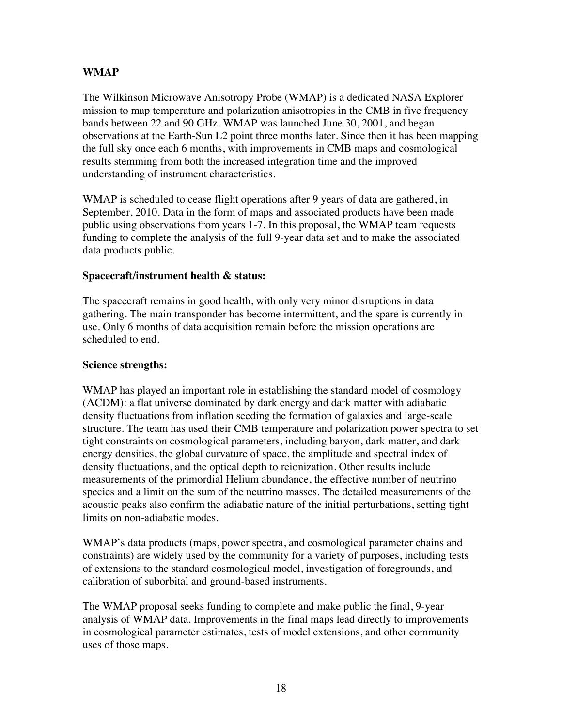# **WMAP**

The Wilkinson Microwave Anisotropy Probe (WMAP) is a dedicated NASA Explorer mission to map temperature and polarization anisotropies in the CMB in five frequency bands between 22 and 90 GHz. WMAP was launched June 30, 2001, and began observations at the Earth-Sun L2 point three months later. Since then it has been mapping the full sky once each 6 months, with improvements in CMB maps and cosmological results stemming from both the increased integration time and the improved understanding of instrument characteristics.

WMAP is scheduled to cease flight operations after 9 years of data are gathered, in September, 2010. Data in the form of maps and associated products have been made public using observations from years 1-7. In this proposal, the WMAP team requests funding to complete the analysis of the full 9-year data set and to make the associated data products public.

## **Spacecraft/instrument health & status:**

The spacecraft remains in good health, with only very minor disruptions in data gathering. The main transponder has become intermittent, and the spare is currently in use. Only 6 months of data acquisition remain before the mission operations are scheduled to end.

#### **Science strengths:**

WMAP has played an important role in establishing the standard model of cosmology (ΛCDM): a flat universe dominated by dark energy and dark matter with adiabatic density fluctuations from inflation seeding the formation of galaxies and large-scale structure. The team has used their CMB temperature and polarization power spectra to set tight constraints on cosmological parameters, including baryon, dark matter, and dark energy densities, the global curvature of space, the amplitude and spectral index of density fluctuations, and the optical depth to reionization. Other results include measurements of the primordial Helium abundance, the effective number of neutrino species and a limit on the sum of the neutrino masses. The detailed measurements of the acoustic peaks also confirm the adiabatic nature of the initial perturbations, setting tight limits on non-adiabatic modes.

WMAP's data products (maps, power spectra, and cosmological parameter chains and constraints) are widely used by the community for a variety of purposes, including tests of extensions to the standard cosmological model, investigation of foregrounds, and calibration of suborbital and ground-based instruments.

The WMAP proposal seeks funding to complete and make public the final, 9-year analysis of WMAP data. Improvements in the final maps lead directly to improvements in cosmological parameter estimates, tests of model extensions, and other community uses of those maps.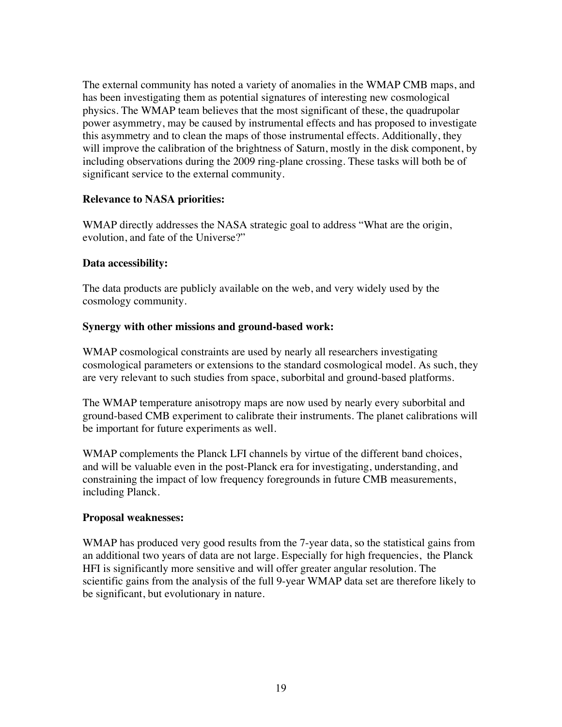The external community has noted a variety of anomalies in the WMAP CMB maps, and has been investigating them as potential signatures of interesting new cosmological physics. The WMAP team believes that the most significant of these, the quadrupolar power asymmetry, may be caused by instrumental effects and has proposed to investigate this asymmetry and to clean the maps of those instrumental effects. Additionally, they will improve the calibration of the brightness of Saturn, mostly in the disk component, by including observations during the 2009 ring-plane crossing. These tasks will both be of significant service to the external community.

## **Relevance to NASA priorities:**

WMAP directly addresses the NASA strategic goal to address "What are the origin, evolution, and fate of the Universe?"

## **Data accessibility:**

The data products are publicly available on the web, and very widely used by the cosmology community.

## **Synergy with other missions and ground-based work:**

WMAP cosmological constraints are used by nearly all researchers investigating cosmological parameters or extensions to the standard cosmological model. As such, they are very relevant to such studies from space, suborbital and ground-based platforms.

The WMAP temperature anisotropy maps are now used by nearly every suborbital and ground-based CMB experiment to calibrate their instruments. The planet calibrations will be important for future experiments as well.

WMAP complements the Planck LFI channels by virtue of the different band choices, and will be valuable even in the post-Planck era for investigating, understanding, and constraining the impact of low frequency foregrounds in future CMB measurements, including Planck.

#### **Proposal weaknesses:**

WMAP has produced very good results from the 7-year data, so the statistical gains from an additional two years of data are not large. Especially for high frequencies, the Planck HFI is significantly more sensitive and will offer greater angular resolution. The scientific gains from the analysis of the full 9-year WMAP data set are therefore likely to be significant, but evolutionary in nature.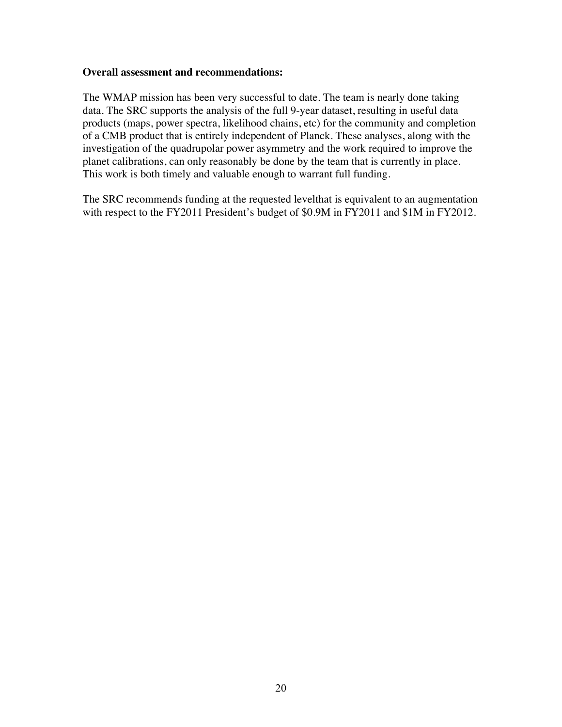#### **Overall assessment and recommendations:**

The WMAP mission has been very successful to date. The team is nearly done taking data. The SRC supports the analysis of the full 9-year dataset, resulting in useful data products (maps, power spectra, likelihood chains, etc) for the community and completion of a CMB product that is entirely independent of Planck. These analyses, along with the investigation of the quadrupolar power asymmetry and the work required to improve the planet calibrations, can only reasonably be done by the team that is currently in place. This work is both timely and valuable enough to warrant full funding.

The SRC recommends funding at the requested levelthat is equivalent to an augmentation with respect to the FY2011 President's budget of \$0.9M in FY2011 and \$1M in FY2012.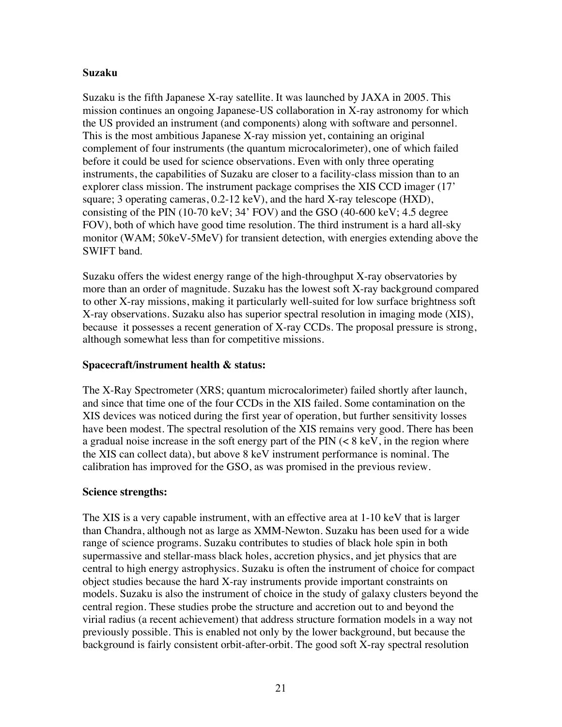#### **Suzaku**

Suzaku is the fifth Japanese X-ray satellite. It was launched by JAXA in 2005. This mission continues an ongoing Japanese-US collaboration in X-ray astronomy for which the US provided an instrument (and components) along with software and personnel. This is the most ambitious Japanese X-ray mission yet, containing an original complement of four instruments (the quantum microcalorimeter), one of which failed before it could be used for science observations. Even with only three operating instruments, the capabilities of Suzaku are closer to a facility-class mission than to an explorer class mission. The instrument package comprises the XIS CCD imager (17' square; 3 operating cameras,  $0.2-12 \text{ keV}$ ), and the hard X-ray telescope (HXD), consisting of the PIN (10-70 keV; 34' FOV) and the GSO (40-600 keV; 4.5 degree FOV), both of which have good time resolution. The third instrument is a hard all-sky monitor (WAM; 50keV-5MeV) for transient detection, with energies extending above the SWIFT band.

Suzaku offers the widest energy range of the high-throughput X-ray observatories by more than an order of magnitude. Suzaku has the lowest soft X-ray background compared to other X-ray missions, making it particularly well-suited for low surface brightness soft X-ray observations. Suzaku also has superior spectral resolution in imaging mode (XIS), because it possesses a recent generation of X-ray CCDs. The proposal pressure is strong, although somewhat less than for competitive missions.

## **Spacecraft/instrument health & status:**

The X-Ray Spectrometer (XRS; quantum microcalorimeter) failed shortly after launch, and since that time one of the four CCDs in the XIS failed. Some contamination on the XIS devices was noticed during the first year of operation, but further sensitivity losses have been modest. The spectral resolution of the XIS remains very good. There has been a gradual noise increase in the soft energy part of the PIN (< 8 keV, in the region where the XIS can collect data), but above 8 keV instrument performance is nominal. The calibration has improved for the GSO, as was promised in the previous review.

# **Science strengths:**

The XIS is a very capable instrument, with an effective area at 1-10 keV that is larger than Chandra, although not as large as XMM-Newton. Suzaku has been used for a wide range of science programs. Suzaku contributes to studies of black hole spin in both supermassive and stellar-mass black holes, accretion physics, and jet physics that are central to high energy astrophysics. Suzaku is often the instrument of choice for compact object studies because the hard X-ray instruments provide important constraints on models. Suzaku is also the instrument of choice in the study of galaxy clusters beyond the central region. These studies probe the structure and accretion out to and beyond the virial radius (a recent achievement) that address structure formation models in a way not previously possible. This is enabled not only by the lower background, but because the background is fairly consistent orbit-after-orbit. The good soft X-ray spectral resolution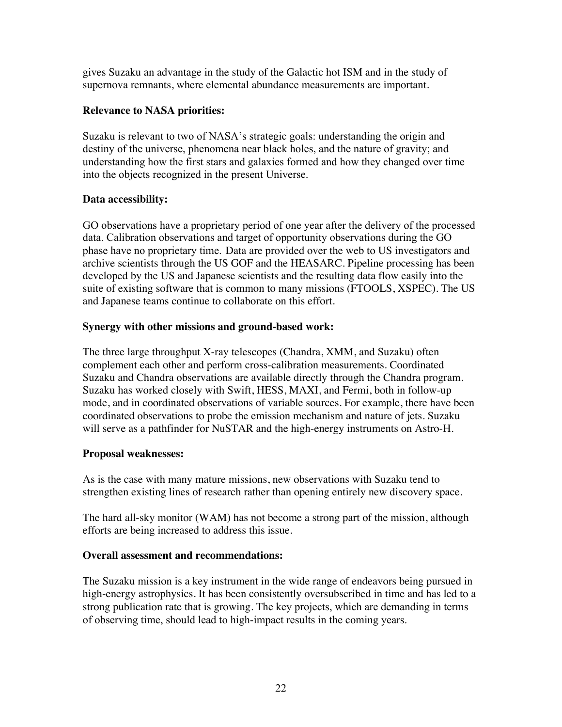gives Suzaku an advantage in the study of the Galactic hot ISM and in the study of supernova remnants, where elemental abundance measurements are important.

# **Relevance to NASA priorities:**

Suzaku is relevant to two of NASA's strategic goals: understanding the origin and destiny of the universe, phenomena near black holes, and the nature of gravity; and understanding how the first stars and galaxies formed and how they changed over time into the objects recognized in the present Universe.

# **Data accessibility:**

GO observations have a proprietary period of one year after the delivery of the processed data. Calibration observations and target of opportunity observations during the GO phase have no proprietary time. Data are provided over the web to US investigators and archive scientists through the US GOF and the HEASARC. Pipeline processing has been developed by the US and Japanese scientists and the resulting data flow easily into the suite of existing software that is common to many missions (FTOOLS, XSPEC). The US and Japanese teams continue to collaborate on this effort.

## **Synergy with other missions and ground-based work:**

The three large throughput X-ray telescopes (Chandra, XMM, and Suzaku) often complement each other and perform cross-calibration measurements. Coordinated Suzaku and Chandra observations are available directly through the Chandra program. Suzaku has worked closely with Swift, HESS, MAXI, and Fermi, both in follow-up mode, and in coordinated observations of variable sources. For example, there have been coordinated observations to probe the emission mechanism and nature of jets. Suzaku will serve as a pathfinder for NuSTAR and the high-energy instruments on Astro-H.

# **Proposal weaknesses:**

As is the case with many mature missions, new observations with Suzaku tend to strengthen existing lines of research rather than opening entirely new discovery space.

The hard all-sky monitor (WAM) has not become a strong part of the mission, although efforts are being increased to address this issue.

#### **Overall assessment and recommendations:**

The Suzaku mission is a key instrument in the wide range of endeavors being pursued in high-energy astrophysics. It has been consistently oversubscribed in time and has led to a strong publication rate that is growing. The key projects, which are demanding in terms of observing time, should lead to high-impact results in the coming years.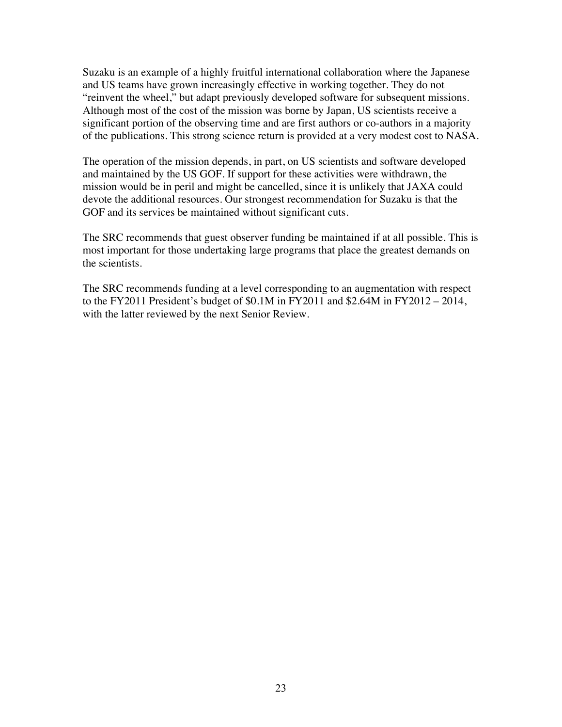Suzaku is an example of a highly fruitful international collaboration where the Japanese and US teams have grown increasingly effective in working together. They do not "reinvent the wheel," but adapt previously developed software for subsequent missions. Although most of the cost of the mission was borne by Japan, US scientists receive a significant portion of the observing time and are first authors or co-authors in a majority of the publications. This strong science return is provided at a very modest cost to NASA.

The operation of the mission depends, in part, on US scientists and software developed and maintained by the US GOF. If support for these activities were withdrawn, the mission would be in peril and might be cancelled, since it is unlikely that JAXA could devote the additional resources. Our strongest recommendation for Suzaku is that the GOF and its services be maintained without significant cuts.

The SRC recommends that guest observer funding be maintained if at all possible. This is most important for those undertaking large programs that place the greatest demands on the scientists.

The SRC recommends funding at a level corresponding to an augmentation with respect to the FY2011 President's budget of \$0.1M in FY2011 and \$2.64M in FY2012 – 2014, with the latter reviewed by the next Senior Review.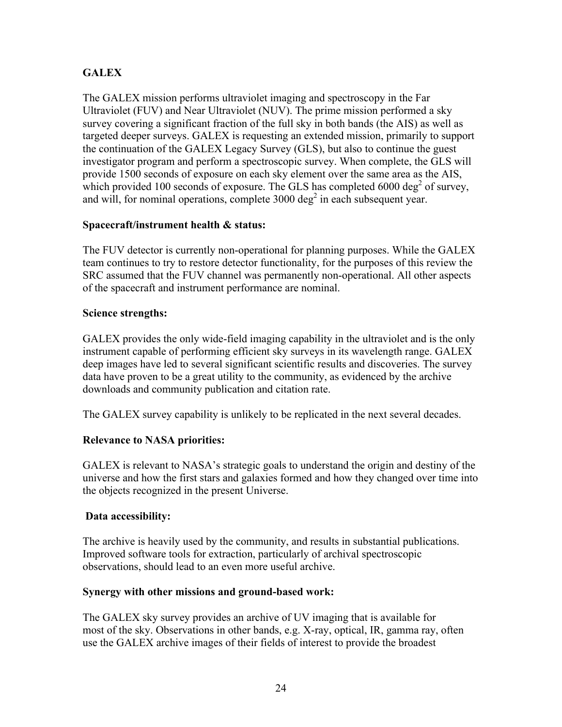# **GALEX**

The GALEX mission performs ultraviolet imaging and spectroscopy in the Far Ultraviolet (FUV) and Near Ultraviolet (NUV). The prime mission performed a sky survey covering a significant fraction of the full sky in both bands (the AIS) as well as targeted deeper surveys. GALEX is requesting an extended mission, primarily to support the continuation of the GALEX Legacy Survey (GLS), but also to continue the guest investigator program and perform a spectroscopic survey. When complete, the GLS will provide 1500 seconds of exposure on each sky element over the same area as the AIS, which provided 100 seconds of exposure. The GLS has completed  $6000 \text{ deg}^2$  of survey, and will, for nominal operations, complete  $3000 \text{ deg}^2$  in each subsequent year.

# **Spacecraft/instrument health & status:**

The FUV detector is currently non-operational for planning purposes. While the GALEX team continues to try to restore detector functionality, for the purposes of this review the SRC assumed that the FUV channel was permanently non-operational. All other aspects of the spacecraft and instrument performance are nominal.

# **Science strengths:**

GALEX provides the only wide-field imaging capability in the ultraviolet and is the only instrument capable of performing efficient sky surveys in its wavelength range. GALEX deep images have led to several significant scientific results and discoveries. The survey data have proven to be a great utility to the community, as evidenced by the archive downloads and community publication and citation rate.

The GALEX survey capability is unlikely to be replicated in the next several decades.

# **Relevance to NASA priorities:**

GALEX is relevant to NASA's strategic goals to understand the origin and destiny of the universe and how the first stars and galaxies formed and how they changed over time into the objects recognized in the present Universe.

# **Data accessibility:**

The archive is heavily used by the community, and results in substantial publications. Improved software tools for extraction, particularly of archival spectroscopic observations, should lead to an even more useful archive.

# **Synergy with other missions and ground-based work:**

The GALEX sky survey provides an archive of UV imaging that is available for most of the sky. Observations in other bands, e.g. X-ray, optical, IR, gamma ray, often use the GALEX archive images of their fields of interest to provide the broadest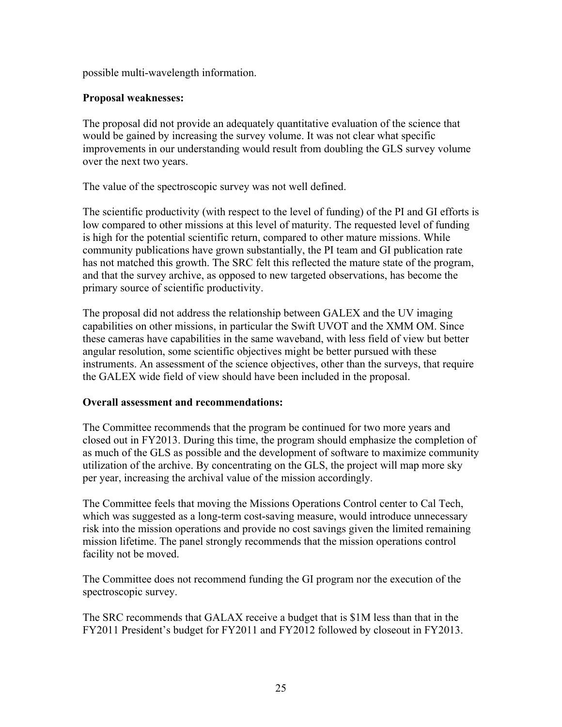possible multi-wavelength information.

## **Proposal weaknesses:**

The proposal did not provide an adequately quantitative evaluation of the science that would be gained by increasing the survey volume. It was not clear what specific improvements in our understanding would result from doubling the GLS survey volume over the next two years.

The value of the spectroscopic survey was not well defined.

The scientific productivity (with respect to the level of funding) of the PI and GI efforts is low compared to other missions at this level of maturity. The requested level of funding is high for the potential scientific return, compared to other mature missions. While community publications have grown substantially, the PI team and GI publication rate has not matched this growth. The SRC felt this reflected the mature state of the program, and that the survey archive, as opposed to new targeted observations, has become the primary source of scientific productivity.

The proposal did not address the relationship between GALEX and the UV imaging capabilities on other missions, in particular the Swift UVOT and the XMM OM. Since these cameras have capabilities in the same waveband, with less field of view but better angular resolution, some scientific objectives might be better pursued with these instruments. An assessment of the science objectives, other than the surveys, that require the GALEX wide field of view should have been included in the proposal.

# **Overall assessment and recommendations:**

The Committee recommends that the program be continued for two more years and closed out in FY2013. During this time, the program should emphasize the completion of as much of the GLS as possible and the development of software to maximize community utilization of the archive. By concentrating on the GLS, the project will map more sky per year, increasing the archival value of the mission accordingly.

The Committee feels that moving the Missions Operations Control center to Cal Tech, which was suggested as a long-term cost-saving measure, would introduce unnecessary risk into the mission operations and provide no cost savings given the limited remaining mission lifetime. The panel strongly recommends that the mission operations control facility not be moved.

The Committee does not recommend funding the GI program nor the execution of the spectroscopic survey.

The SRC recommends that GALAX receive a budget that is \$1M less than that in the FY2011 President's budget for FY2011 and FY2012 followed by closeout in FY2013.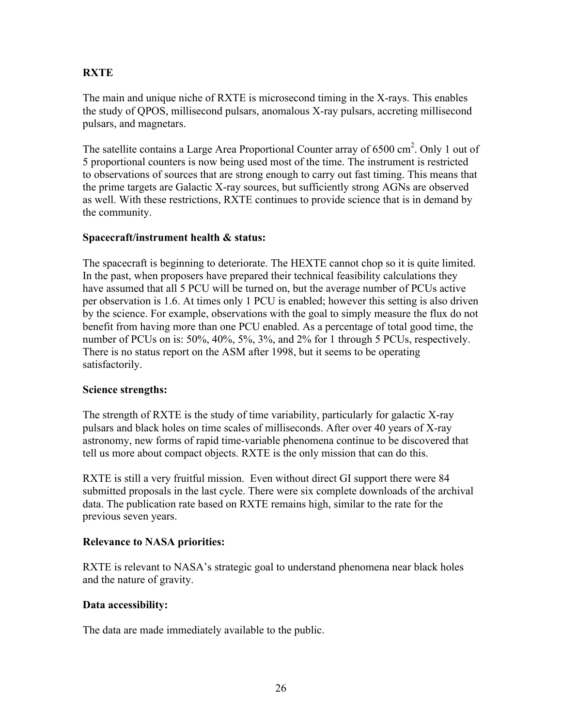# **RXTE**

The main and unique niche of RXTE is microsecond timing in the X-rays. This enables the study of QPOS, millisecond pulsars, anomalous X-ray pulsars, accreting millisecond pulsars, and magnetars.

The satellite contains a Large Area Proportional Counter array of  $6500 \text{ cm}^2$ . Only 1 out of 5 proportional counters is now being used most of the time. The instrument is restricted to observations of sources that are strong enough to carry out fast timing. This means that the prime targets are Galactic X-ray sources, but sufficiently strong AGNs are observed as well. With these restrictions, RXTE continues to provide science that is in demand by the community.

## **Spacecraft/instrument health & status:**

The spacecraft is beginning to deteriorate. The HEXTE cannot chop so it is quite limited. In the past, when proposers have prepared their technical feasibility calculations they have assumed that all 5 PCU will be turned on, but the average number of PCUs active per observation is 1.6. At times only 1 PCU is enabled; however this setting is also driven by the science. For example, observations with the goal to simply measure the flux do not benefit from having more than one PCU enabled. As a percentage of total good time, the number of PCUs on is: 50%, 40%, 5%, 3%, and 2% for 1 through 5 PCUs, respectively. There is no status report on the ASM after 1998, but it seems to be operating satisfactorily.

# **Science strengths:**

The strength of RXTE is the study of time variability, particularly for galactic X-ray pulsars and black holes on time scales of milliseconds. After over 40 years of X-ray astronomy, new forms of rapid time-variable phenomena continue to be discovered that tell us more about compact objects. RXTE is the only mission that can do this.

RXTE is still a very fruitful mission. Even without direct GI support there were 84 submitted proposals in the last cycle. There were six complete downloads of the archival data. The publication rate based on RXTE remains high, similar to the rate for the previous seven years.

# **Relevance to NASA priorities:**

RXTE is relevant to NASA's strategic goal to understand phenomena near black holes and the nature of gravity.

# **Data accessibility:**

The data are made immediately available to the public.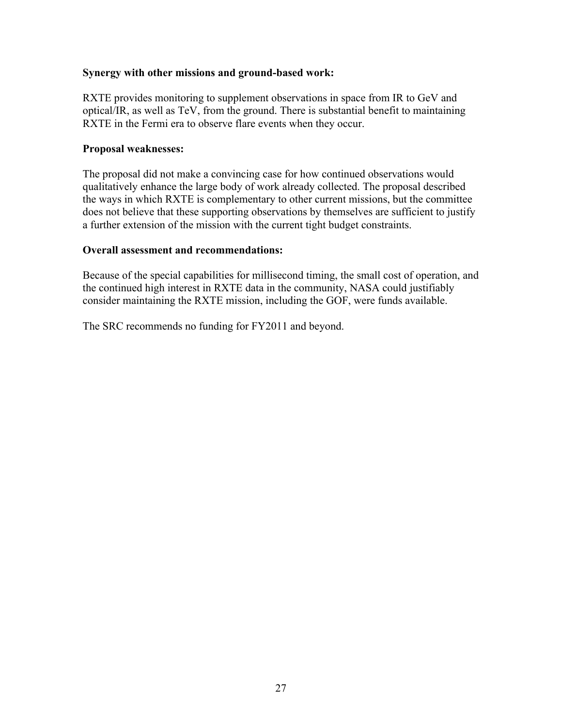### **Synergy with other missions and ground-based work:**

RXTE provides monitoring to supplement observations in space from IR to GeV and optical/IR, as well as TeV, from the ground. There is substantial benefit to maintaining RXTE in the Fermi era to observe flare events when they occur.

### **Proposal weaknesses:**

The proposal did not make a convincing case for how continued observations would qualitatively enhance the large body of work already collected. The proposal described the ways in which RXTE is complementary to other current missions, but the committee does not believe that these supporting observations by themselves are sufficient to justify a further extension of the mission with the current tight budget constraints.

## **Overall assessment and recommendations:**

Because of the special capabilities for millisecond timing, the small cost of operation, and the continued high interest in RXTE data in the community, NASA could justifiably consider maintaining the RXTE mission, including the GOF, were funds available.

The SRC recommends no funding for FY2011 and beyond.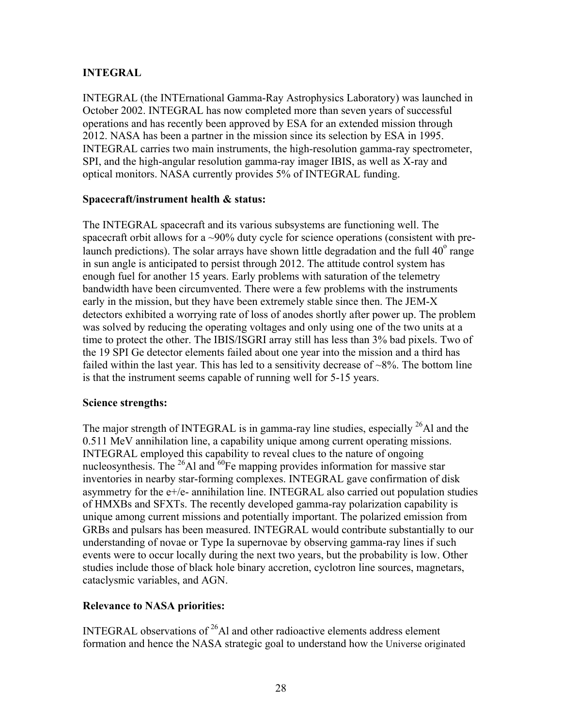# **INTEGRAL**

INTEGRAL (the INTErnational Gamma-Ray Astrophysics Laboratory) was launched in October 2002. INTEGRAL has now completed more than seven years of successful operations and has recently been approved by ESA for an extended mission through 2012. NASA has been a partner in the mission since its selection by ESA in 1995. INTEGRAL carries two main instruments, the high-resolution gamma-ray spectrometer, SPI, and the high-angular resolution gamma-ray imager IBIS, as well as X-ray and optical monitors. NASA currently provides 5% of INTEGRAL funding.

## **Spacecraft/instrument health & status:**

The INTEGRAL spacecraft and its various subsystems are functioning well. The spacecraft orbit allows for a ~90% duty cycle for science operations (consistent with prelaunch predictions). The solar arrays have shown little degradation and the full  $40^{\circ}$  range in sun angle is anticipated to persist through 2012. The attitude control system has enough fuel for another 15 years. Early problems with saturation of the telemetry bandwidth have been circumvented. There were a few problems with the instruments early in the mission, but they have been extremely stable since then. The JEM-X detectors exhibited a worrying rate of loss of anodes shortly after power up. The problem was solved by reducing the operating voltages and only using one of the two units at a time to protect the other. The IBIS/ISGRI array still has less than 3% bad pixels. Two of the 19 SPI Ge detector elements failed about one year into the mission and a third has failed within the last year. This has led to a sensitivity decrease of  $\sim 8\%$ . The bottom line is that the instrument seems capable of running well for 5-15 years.

# **Science strengths:**

The major strength of INTEGRAL is in gamma-ray line studies, especially  $^{26}$ Al and the 0.511 MeV annihilation line, a capability unique among current operating missions. INTEGRAL employed this capability to reveal clues to the nature of ongoing nucleosynthesis. The  $^{26}$ Al and  $^{60}$ Fe mapping provides information for massive star inventories in nearby star-forming complexes. INTEGRAL gave confirmation of disk asymmetry for the  $e^{+}/e$ - annihilation line. INTEGRAL also carried out population studies of HMXBs and SFXTs. The recently developed gamma-ray polarization capability is unique among current missions and potentially important. The polarized emission from GRBs and pulsars has been measured. INTEGRAL would contribute substantially to our understanding of novae or Type Ia supernovae by observing gamma-ray lines if such events were to occur locally during the next two years, but the probability is low. Other studies include those of black hole binary accretion, cyclotron line sources, magnetars, cataclysmic variables, and AGN.

# **Relevance to NASA priorities:**

 formation and hence the NASA strategic goal to understand how the Universe originated INTEGRAL observations of  $^{26}$ Al and other radioactive elements address element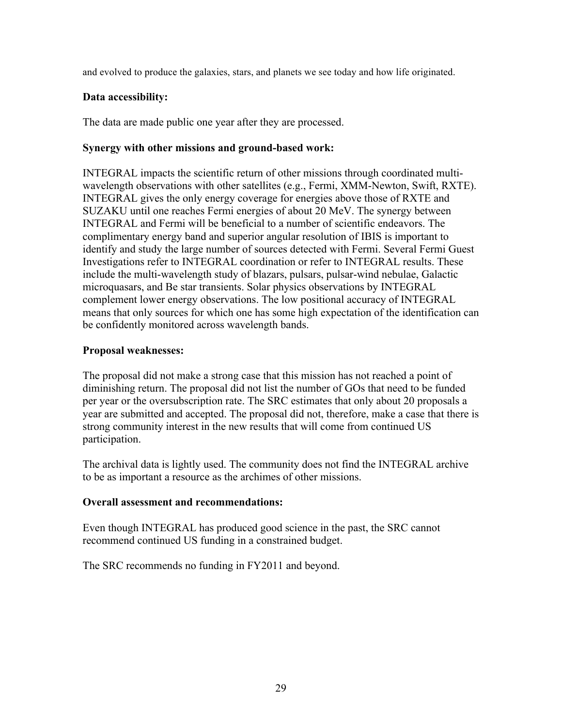and evolved to produce the galaxies, stars, and planets we see today and how life originated.

## **Data accessibility:**

The data are made public one year after they are processed.

## **Synergy with other missions and ground-based work:**

INTEGRAL impacts the scientific return of other missions through coordinated multiwavelength observations with other satellites (e.g., Fermi, XMM-Newton, Swift, RXTE). INTEGRAL gives the only energy coverage for energies above those of RXTE and SUZAKU until one reaches Fermi energies of about 20 MeV. The synergy between INTEGRAL and Fermi will be beneficial to a number of scientific endeavors. The complimentary energy band and superior angular resolution of IBIS is important to identify and study the large number of sources detected with Fermi. Several Fermi Guest Investigations refer to INTEGRAL coordination or refer to INTEGRAL results. These include the multi-wavelength study of blazars, pulsars, pulsar-wind nebulae, Galactic microquasars, and Be star transients. Solar physics observations by INTEGRAL complement lower energy observations. The low positional accuracy of INTEGRAL means that only sources for which one has some high expectation of the identification can be confidently monitored across wavelength bands.

## **Proposal weaknesses:**

The proposal did not make a strong case that this mission has not reached a point of diminishing return. The proposal did not list the number of GOs that need to be funded per year or the oversubscription rate. The SRC estimates that only about 20 proposals a year are submitted and accepted. The proposal did not, therefore, make a case that there is strong community interest in the new results that will come from continued US participation.

The archival data is lightly used. The community does not find the INTEGRAL archive to be as important a resource as the archimes of other missions.

# **Overall assessment and recommendations:**

Even though INTEGRAL has produced good science in the past, the SRC cannot recommend continued US funding in a constrained budget.

The SRC recommends no funding in FY2011 and beyond.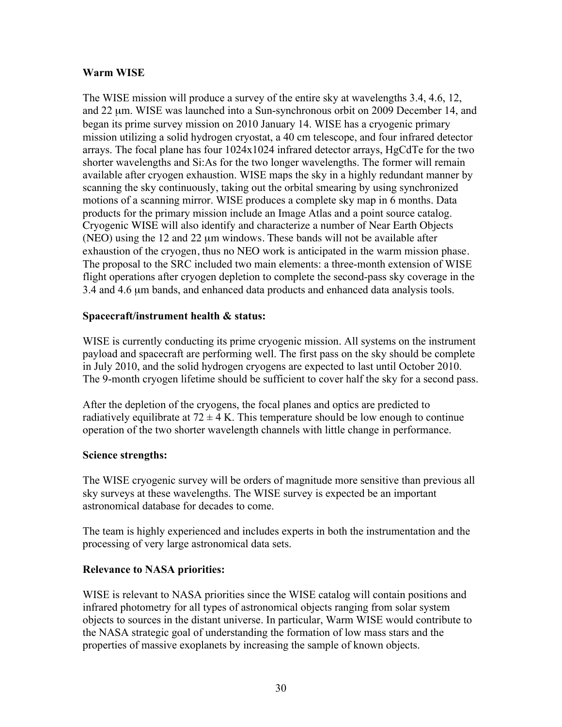# **Warm WISE**

The WISE mission will produce a survey of the entire sky at wavelengths 3.4, 4.6, 12, and 22 µm. WISE was launched into a Sun-synchronous orbit on 2009 December 14, and began its prime survey mission on 2010 January 14. WISE has a cryogenic primary mission utilizing a solid hydrogen cryostat, a 40 cm telescope, and four infrared detector arrays. The focal plane has four  $1024x1024$  infrared detector arrays, HgCdTe for the two shorter wavelengths and Si:As for the two longer wavelengths. The former will remain available after cryogen exhaustion. WISE maps the sky in a highly redundant manner by scanning the sky continuously, taking out the orbital smearing by using synchronized motions of a scanning mirror. WISE produces a complete sky map in 6 months. Data products for the primary mission include an Image Atlas and a point source catalog. Cryogenic WISE will also identify and characterize a number of Near Earth Objects (NEO) using the 12 and 22 µm windows. These bands will not be available after exhaustion of the cryogen, thus no NEO work is anticipated in the warm mission phase. The proposal to the SRC included two main elements: a three-month extension of WISE flight operations after cryogen depletion to complete the second-pass sky coverage in the 3.4 and 4.6 µm bands, and enhanced data products and enhanced data analysis tools.

## **Spacecraft/instrument health & status:**

WISE is currently conducting its prime cryogenic mission. All systems on the instrument payload and spacecraft are performing well. The first pass on the sky should be complete in July 2010, and the solid hydrogen cryogens are expected to last until October 2010. The 9-month cryogen lifetime should be sufficient to cover half the sky for a second pass.

After the depletion of the cryogens, the focal planes and optics are predicted to radiatively equilibrate at  $72 \pm 4$  K. This temperature should be low enough to continue operation of the two shorter wavelength channels with little change in performance.

#### **Science strengths:**

The WISE cryogenic survey will be orders of magnitude more sensitive than previous all sky surveys at these wavelengths. The WISE survey is expected be an important astronomical database for decades to come.

The team is highly experienced and includes experts in both the instrumentation and the processing of very large astronomical data sets.

#### **Relevance to NASA priorities:**

WISE is relevant to NASA priorities since the WISE catalog will contain positions and infrared photometry for all types of astronomical objects ranging from solar system objects to sources in the distant universe. In particular, Warm WISE would contribute to the NASA strategic goal of understanding the formation of low mass stars and the properties of massive exoplanets by increasing the sample of known objects.